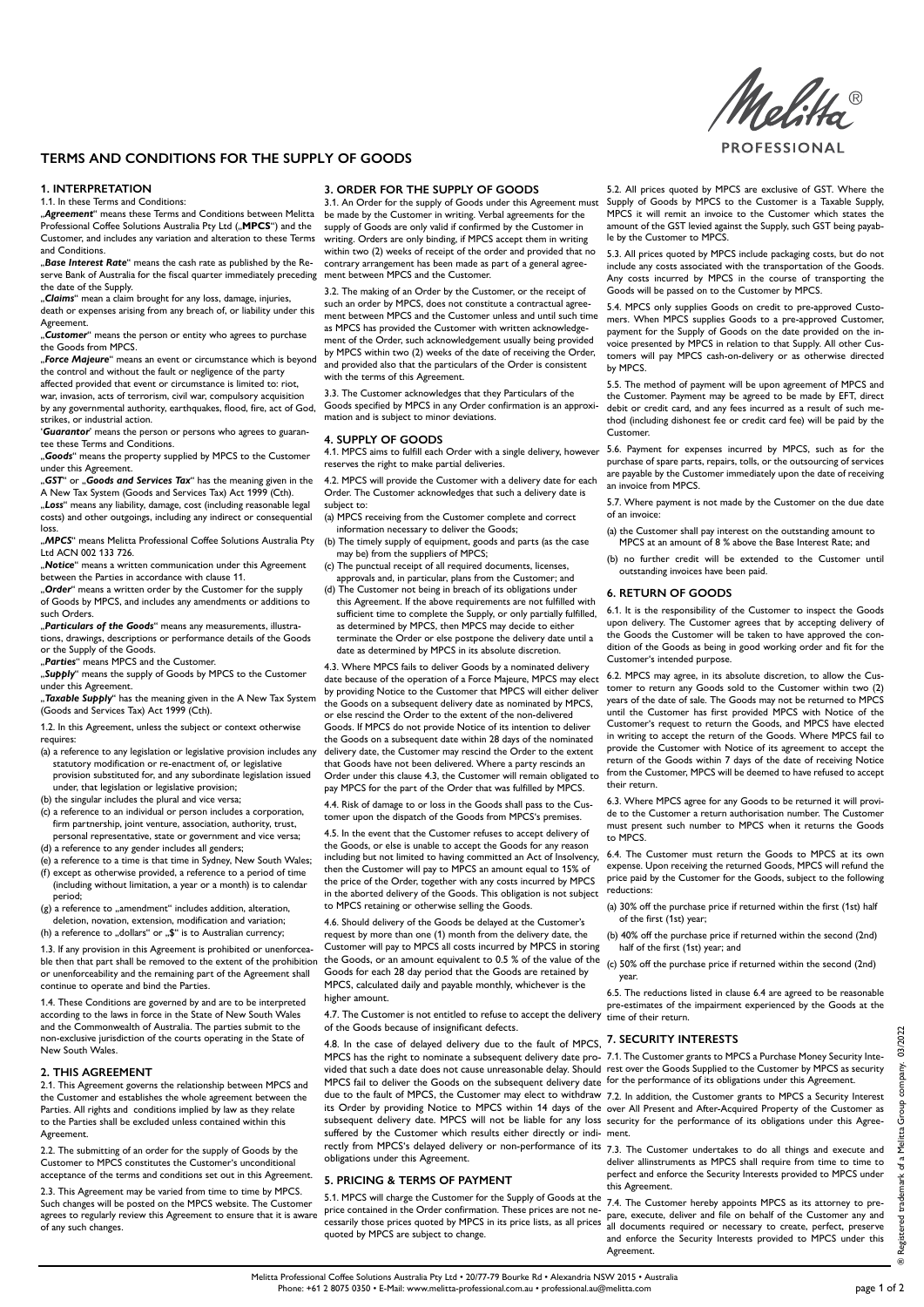**PROFESSIONAL** 

# **TERMS AND CONDITIONS FOR THE SUPPLY OF GOODS**

### **1. INTERPRETATION**

### 1.1. In these Terms and Conditions:

"Agreement" means these Terms and Conditions between Melitta be made by the Customer in writing. Verbal agreements for the Professional Coffee Solutions Australia Pty Ltd ("MPCS") and the Customer, and includes any variation and alteration to these Terms and Conditions.

"*Base Interest Rate*" means the cash rate as published by the Reserve Bank of Australia for the fiscal quarter immediately preceding ment between MPCS and the Customer. the date of the Supply.

"*Claims*" mean a claim brought for any loss, damage, injuries, death or expenses arising from any breach of, or liability under this Agreement.

"*Customer*" means the person or entity who agrees to purchase the Goods from MPCS.

"*Force Majeure*" means an event or circumstance which is beyond the control and without the fault or negligence of the party

affected provided that event or circumstance is limited to: riot, war, invasion, acts of terrorism, civil war, compulsory acquisition by any governmental authority, earthquakes, flood, fire, act of God,

strikes, or industrial action. '*Guarantor*' means the person or persons who agrees to guarantee these Terms and Conditions.

"*Goods*" means the property supplied by MPCS to the Customer under this Agreement.

"*GST*" or "*Goods and Services Tax*" has the meaning given in the A New Tax System (Goods and Services Tax) Act 1999 (Cth). "Loss" means any liability, damage, cost (including reasonable legal

costs) and other outgoings, including any indirect or consequential loss.

"*MPCS*" means Melitta Professional Coffee Solutions Australia Pty Ltd ACN 002 133 726.

"Notice" means a written communication under this Agreement between the Parties in accordance with clause 11.

"*Order*" means a written order by the Customer for the supply of Goods by MPCS, and includes any amendments or additions to such Orders.

"*Particulars of the Goods*" means any measurements, illustrations, drawings, descriptions or performance details of the Goods or the Supply of the Goods.

"*Parties*" means MPCS and the Customer.

"*Supply*" means the supply of Goods by MPCS to the Customer

under this Agreement. "Taxable Supply" has the meaning given in the A New Tax System (Goods and Services Tax) Act 1999 (Cth).

1.2. In this Agreement, unless the subject or context otherwise requires:

- (a) a reference to any legislation or legislative provision includes any statutory modification or re-enactment of, or legislative provision substituted for, and any subordinate legislation issued under, that legislation or legislative provision;
- (b) the singular includes the plural and vice versa;
- (c) a reference to an individual or person includes a corporation, firm partnership, joint venture, association, authority, trust, personal representative, state or government and vice versa;

(d) a reference to any gender includes all genders;

(e) a reference to a time is that time in Sydney, New South Wales; (f) except as otherwise provided, a reference to a period of time (including without limitation, a year or a month) is to calendar period;

 $(g)$  a reference to "amendment" includes addition, alteration, deletion, novation, extension, modification and variation;

(h) a reference to "dollars" or  $\mathfrak{F}$ " is to Australian currency;

1.3. If any provision in this Agreement is prohibited or unenforceable then that part shall be removed to the extent of the prohibition or unenforceability and the remaining part of the Agreement shall continue to operate and bind the Parties.

1.4. These Conditions are governed by and are to be interpreted according to the laws in force in the State of New South Wales and the Commonwealth of Australia. The parties submit to the non-exclusive jurisdiction of the courts operating in the State of New South Wales.

## **2. THIS AGREEMENT**

2.1. This Agreement governs the relationship between MPCS and the Customer and establishes the whole agreement between the Parties. All rights and conditions implied by law as they relate to the Parties shall be excluded unless contained within this **Agreement** 

2.2. The submitting of an order for the supply of Goods by the Customer to MPCS constitutes the Customer's unconditional acceptance of the terms and conditions set out in this Agreement.

2.3. This Agreement may be varied from time to time by MPCS. Such changes will be posted on the MPCS website. The Customer agrees to regularly review this Agreement to ensure that it is aware of any such changes.

### **3. ORDER FOR THE SUPPLY OF GOODS**

3.1. An Order for the supply of Goods under this Agreement must supply of Goods are only valid if confirmed by the Customer in writing. Orders are only binding, if MPCS accept them in writing within two (2) weeks of receipt of the order and provided that no contrary arrangement has been made as part of a general agree-

3.2. The making of an Order by the Customer, or the receipt of such an order by MPCS, does not constitute a contractual agreement between MPCS and the Customer unless and until such time as MPCS has provided the Customer with written acknowledgement of the Order, such acknowledgement usually being provided by MPCS within two (2) weeks of the date of receiving the Order, and provided also that the particulars of the Order is consistent with the terms of this Agreement.

3.3. The Customer acknowledges that they Particulars of the Goods specified by MPCS in any Order confirmation is an approximation and is subject to minor deviations.

## **4. SUPPLY OF GOODS**

4.1. MPCS aims to fulfill each Order with a single delivery, however reserves the right to make partial deliveries.

4.2. MPCS will provide the Customer with a delivery date for each Order. The Customer acknowledges that such a delivery date is subject to:

- (a) MPCS receiving from the Customer complete and correct information necessary to deliver the Goods;
- (b) The timely supply of equipment, goods and parts (as the case may be) from the suppliers of MPCS;
- (c) The punctual receipt of all required documents, licenses, approvals and, in particular, plans from the Customer; and
- (d) The Customer not being in breach of its obligations under this Agreement. If the above requirements are not fulfilled with sufficient time to complete the Supply, or only partially fulfilled, as determined by MPCS, then MPCS may decide to either terminate the Order or else postpone the delivery date until a date as determined by MPCS in its absolute discretion.

4.3. Where MPCS fails to deliver Goods by a nominated delivery date because of the operation of a Force Majeure, MPCS may elect by providing Notice to the Customer that MPCS will either deliver the Goods on a subsequent delivery date as nominated by MPCS, or else rescind the Order to the extent of the non-delivered Goods. If MPCS do not provide Notice of its intention to deliver the Goods on a subsequent date within 28 days of the nominated delivery date, the Customer may rescind the Order to the extent that Goods have not been delivered. Where a party rescinds an Order under this clause 4.3, the Customer will remain obligated to pay MPCS for the part of the Order that was fulfilled by MPCS.

4.4. Risk of damage to or loss in the Goods shall pass to the Customer upon the dispatch of the Goods from MPCS's premises.

4.5. In the event that the Customer refuses to accept delivery of the Goods, or else is unable to accept the Goods for any reason including but not limited to having committed an Act of Insolvency, then the Customer will pay to MPCS an amount equal to 15% of the price of the Order, together with any costs incurred by MPCS in the aborted delivery of the Goods. This obligation is not subject to MPCS retaining or otherwise selling the Goods.

4.6. Should delivery of the Goods be delayed at the Customer's request by more than one (1) month from the delivery date, the Customer will pay to MPCS all costs incurred by MPCS in storing the Goods, or an amount equivalent to 0.5 % of the value of the Goods for each 28 day period that the Goods are retained by MPCS, calculated daily and payable monthly, whichever is the higher amount.

4.7. The Customer is not entitled to refuse to accept the delivery time of their return. of the Goods because of insignificant defects.

4.8. In the case of delayed delivery due to the fault of MPCS, **7. SECURITY INTERESTS** MPCS fail to deliver the Goods on the subsequent delivery date for the performance of its obligations under this Agreement. due to the fault of MPCS, the Customer may elect to withdraw 7.2. In addition, the Customer grants to MPCS a Security Interest suffered by the Customer which results either directly or indi-ment. rectly from MPCS's delayed delivery or non-performance of its 7.3. The Customer undertakes to do all things and execute and obligations under this Agreement.

## **5. PRICING & TERMS OF PAYMENT**

5.1. MPCS will charge the Customer for the Supply of Goods at the 7.4. The Customer hereby appoints MPCS as its attorney to preprice contained in the Order confirmation. These prices are not necessarily those prices quoted by MPCS in its price lists, as all prices quoted by MPCS are subject to change.

5.2. All prices quoted by MPCS are exclusive of GST. Where the Supply of Goods by MPCS to the Customer is a Taxable Supply, MPCS it will remit an invoice to the Customer which states the amount of the GST levied against the Supply, such GST being payable by the Customer to MPCS.

5.3. All prices quoted by MPCS include packaging costs, but do not include any costs associated with the transportation of the Goods. Any costs incurred by MPCS in the course of transporting the Goods will be passed on to the Customer by MPCS.

5.4. MPCS only supplies Goods on credit to pre-approved Customers. When MPCS supplies Goods to a pre-approved Customer, payment for the Supply of Goods on the date provided on the invoice presented by MPCS in relation to that Supply. All other Customers will pay MPCS cash-on-delivery or as otherwise directed by MPCS.

5.5. The method of payment will be upon agreement of MPCS and the Customer. Payment may be agreed to be made by EFT, direct debit or credit card, and any fees incurred as a result of such method (including dishonest fee or credit card fee) will be paid by the Customer.

5.6. Payment for expenses incurred by MPCS, such as for the purchase of spare parts, repairs, tolls, or the outsourcing of services .<br>are payable by the Customer immediately upon the date of receiving an invoice from MPCS.

5.7. Where payment is not made by the Customer on the due date of an invoice:

(a) the Customer shall pay interest on the outstanding amount to MPCS at an amount of 8 % above the Base Interest Rate; and

(b) no further credit will be extended to the Customer until outstanding invoices have been paid.

## **6. RETURN OF GOODS**

6.1. It is the responsibility of the Customer to inspect the Goods upon delivery. The Customer agrees that by accepting delivery of the Goods the Customer will be taken to have approved the condition of the Goods as being in good working order and fit for the Customer's intended purpose.

6.2. MPCS may agree, in its absolute discretion, to allow the Customer to return any Goods sold to the Customer within two (2) years of the date of sale. The Goods may not be returned to MPCS until the Customer has first provided MPCS with Notice of the Customer's request to return the Goods, and MPCS have elected in writing to accept the return of the Goods. Where MPCS fail to provide the Customer with Notice of its agreement to accept the return of the Goods within 7 days of the date of receiving Notice from the Customer, MPCS will be deemed to have refused to accept their return.

6.3. Where MPCS agree for any Goods to be returned it will provide to the Customer a return authorisation number. The Customer must present such number to MPCS when it returns the Goods to MPCS.

6.4. The Customer must return the Goods to MPCS at its own expense. Upon receiving the returned Goods, MPCS will refund the price paid by the Customer for the Goods, subject to the following reductions:

- (a) 30% off the purchase price if returned within the first (1st) half of the first (1st) year;
- (b) 40% off the purchase price if returned within the second (2nd) half of the first (1st) year; and
- (c) 50% off the purchase price if returned within the second (2nd) year.

6.5. The reductions listed in clause 6.4 are agreed to be reasonable pre-estimates of the impairment experienced by the Goods at the

MPCS has the right to nominate a subsequent delivery date pro- 7.1. The Customer grants to MPCS a Purchase Money Security Intevided that such a date does not cause unreasonable delay. Should rest over the Goods Supplied to the Customer by MPCS as security

its Order by providing Notice to MPCS within 14 days of the over All Present and After-Acquired Property of the Customer as subsequent delivery date. MPCS will not be liable for any loss security for the performance of its obligations under this Agree-

> deliver allinstruments as MPCS shall require from time to time to perfect and enforce the Security Interests provided to MPCS under this Agreement.

> pare, execute, deliver and file on behalf of the Customer any and all documents required or necessary to create, perfect, preserve and enforce the Security Interests provided to MPCS under this Agreement.